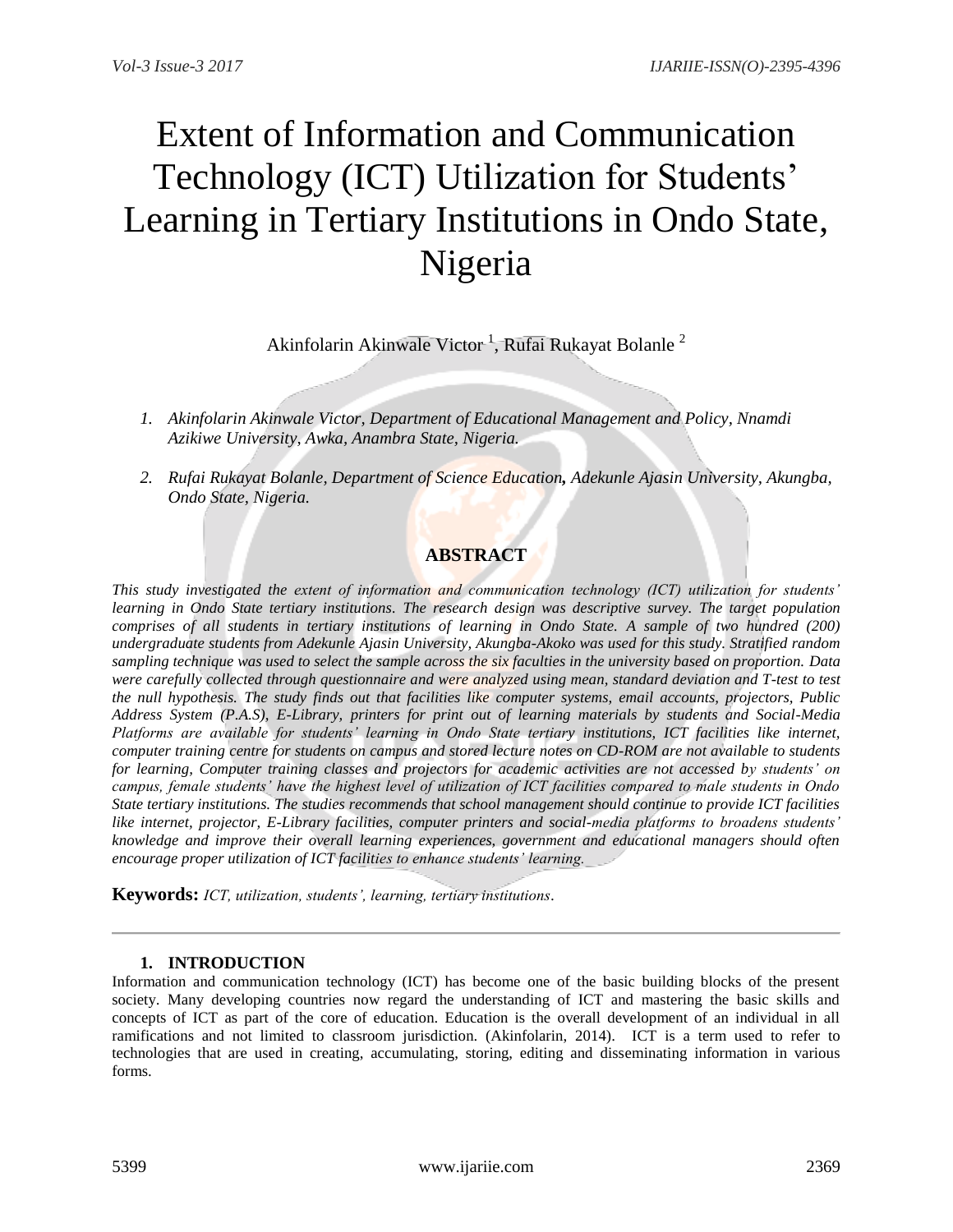# Extent of Information and Communication Technology (ICT) Utilization for Students' Learning in Tertiary Institutions in Ondo State, Nigeria

Akinfolarin Akinwale Victor  $^1$ , Rufai Rukayat Bolanle  $^2$ 

- *1. Akinfolarin Akinwale Victor, Department of Educational Management and Policy, Nnamdi Azikiwe University, Awka, Anambra State, Nigeria.*
- *2. Rufai Rukayat Bolanle, Department of Science Education, Adekunle Ajasin University, Akungba, Ondo State, Nigeria.*

# **ABSTRACT**

*This study investigated the extent of information and communication technology (ICT) utilization for students' learning in Ondo State tertiary institutions. The research design was descriptive survey. The target population comprises of all students in tertiary institutions of learning in Ondo State. A sample of two hundred (200) undergraduate students from Adekunle Ajasin University, Akungba-Akoko was used for this study. Stratified random sampling technique was used to select the sample across the six faculties in the university based on proportion. Data were carefully collected through questionnaire and were analyzed using mean, standard deviation and T-test to test the null hypothesis. The study finds out that facilities like computer systems, email accounts, projectors, Public Address System (P.A.S), E-Library, printers for print out of learning materials by students and Social-Media Platforms are available for students' learning in Ondo State tertiary institutions, ICT facilities like internet, computer training centre for students on campus and stored lecture notes on CD-ROM are not available to students for learning, Computer training classes and projectors for academic activities are not accessed by students' on campus, female students' have the highest level of utilization of ICT facilities compared to male students in Ondo State tertiary institutions. The studies recommends that school management should continue to provide ICT facilities like internet, projector, E-Library facilities, computer printers and social-media platforms to broadens students' knowledge and improve their overall learning experiences, government and educational managers should often encourage proper utilization of ICT facilities to enhance students' learning.*

**Keywords:** *ICT, utilization, students', learning, tertiary institutions.*

# **1. INTRODUCTION**

Information and communication technology (ICT) has become one of the basic building blocks of the present society. Many developing countries now regard the understanding of ICT and mastering the basic skills and concepts of ICT as part of the core of education. Education is the overall development of an individual in all ramifications and not limited to classroom jurisdiction. (Akinfolarin, 2014). ICT is a term used to refer to technologies that are used in creating, accumulating, storing, editing and disseminating information in various forms.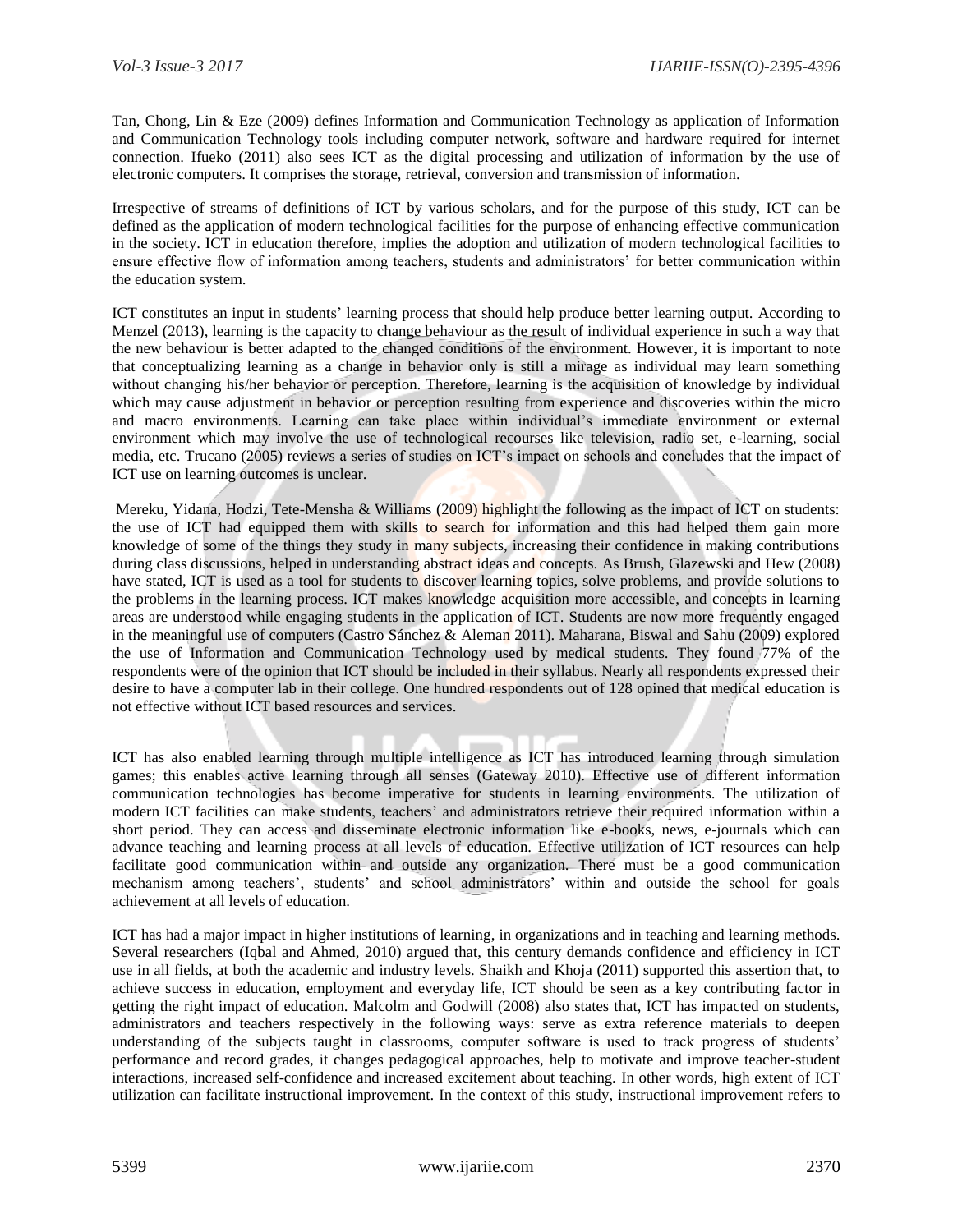Tan, Chong, Lin & Eze (2009) defines Information and Communication Technology as application of Information and Communication Technology tools including computer network, software and hardware required for internet connection. Ifueko (2011) also sees ICT as the digital processing and utilization of information by the use of electronic computers. It comprises the storage, retrieval, conversion and transmission of information.

Irrespective of streams of definitions of ICT by various scholars, and for the purpose of this study, ICT can be defined as the application of modern technological facilities for the purpose of enhancing effective communication in the society. ICT in education therefore, implies the adoption and utilization of modern technological facilities to ensure effective flow of information among teachers, students and administrators" for better communication within the education system.

ICT constitutes an input in students" learning process that should help produce better learning output. According to Menzel (2013), learning is the capacity to change behaviour as the result of individual experience in such a way that the new behaviour is better adapted to the changed conditions of the environment. However, it is important to note that conceptualizing learning as a change in behavior only is still a mirage as individual may learn something without changing his/her behavior or perception. Therefore, learning is the acquisition of knowledge by individual which may cause adjustment in behavior or perception resulting from experience and discoveries within the micro and macro environments. Learning can take place within individual"s immediate environment or external environment which may involve the use of technological recourses like television, radio set, e-learning, social media, etc. Trucano (2005) reviews a series of studies on ICT"s impact on schools and concludes that the impact of ICT use on learning outcomes is unclear.

Mereku, Yidana, Hodzi, Tete-Mensha & Williams (2009) highlight the following as the impact of ICT on students: the use of ICT had equipped them with skills to search for information and this had helped them gain more knowledge of some of the things they study in many subjects, increasing their confidence in making contributions during class discussions, helped in understanding abstract ideas and concepts. As Brush, Glazewski and Hew (2008) have stated, ICT is used as a tool for students to discover learning topics, solve problems, and provide solutions to the problems in the learning process. ICT makes knowledge acquisition more accessible, and concepts in learning areas are understood while engaging students in the application of ICT. Students are now more frequently engaged in the meaningful use of computers (Castro Sánchez & Aleman 2011). Maharana, Biswal and Sahu (2009) explored the use of Information and Communication Technology used by medical students. They found 77% of the respondents were of the opinion that ICT should be included in their syllabus. Nearly all respondents expressed their desire to have a computer lab in their college. One hundred respondents out of 128 opined that medical education is not effective without ICT based resources and services.

ICT has also enabled learning through multiple intelligence as ICT has introduced learning through simulation games; this enables active learning through all senses (Gateway 2010). Effective use of different information communication technologies has become imperative for students in learning environments. The utilization of modern ICT facilities can make students, teachers" and administrators retrieve their required information within a short period. They can access and disseminate electronic information like e-books, news, e-journals which can advance teaching and learning process at all levels of education. Effective utilization of ICT resources can help facilitate good communication within and outside any organization. There must be a good communication mechanism among teachers", students" and school administrators" within and outside the school for goals achievement at all levels of education.

ICT has had a major impact in higher institutions of learning, in organizations and in teaching and learning methods. Several researchers (Iqbal and Ahmed, 2010) argued that, this century demands confidence and efficiency in ICT use in all fields, at both the academic and industry levels. Shaikh and Khoja (2011) supported this assertion that, to achieve success in education, employment and everyday life, ICT should be seen as a key contributing factor in getting the right impact of education. Malcolm and Godwill (2008) also states that, ICT has impacted on students, administrators and teachers respectively in the following ways: serve as extra reference materials to deepen understanding of the subjects taught in classrooms, computer software is used to track progress of students" performance and record grades, it changes pedagogical approaches, help to motivate and improve teacher-student interactions, increased self-confidence and increased excitement about teaching. In other words, high extent of ICT utilization can facilitate instructional improvement. In the context of this study, instructional improvement refers to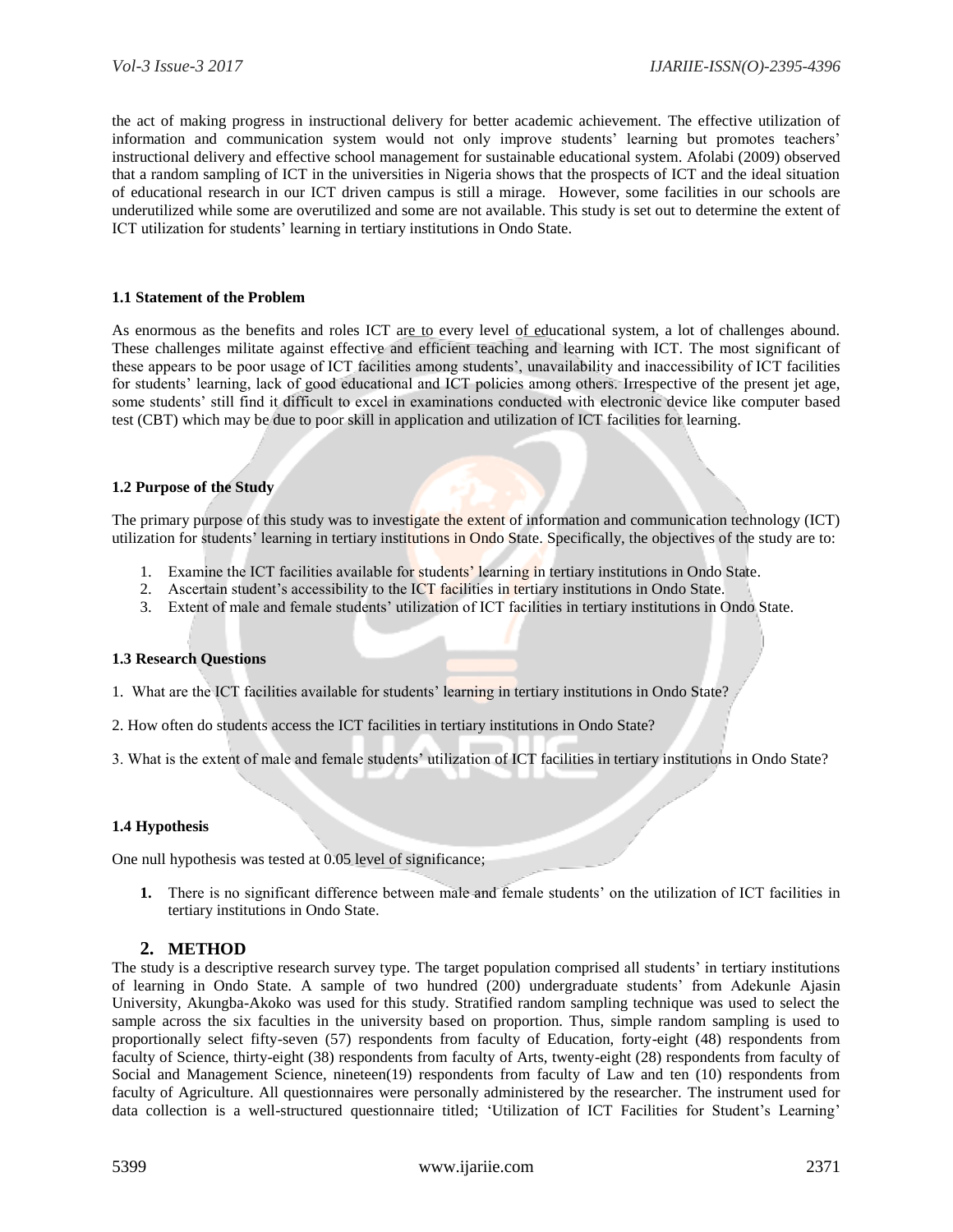the act of making progress in instructional delivery for better academic achievement. The effective utilization of information and communication system would not only improve students' learning but promotes teachers' instructional delivery and effective school management for sustainable educational system. Afolabi (2009) observed that a random sampling of ICT in the universities in Nigeria shows that the prospects of ICT and the ideal situation of educational research in our ICT driven campus is still a mirage. However, some facilities in our schools are underutilized while some are overutilized and some are not available. This study is set out to determine the extent of ICT utilization for students" learning in tertiary institutions in Ondo State.

#### **1.1 Statement of the Problem**

As enormous as the benefits and roles ICT are to every level of educational system, a lot of challenges abound. These challenges militate against effective and efficient teaching and learning with ICT. The most significant of these appears to be poor usage of ICT facilities among students", unavailability and inaccessibility of ICT facilities for students" learning, lack of good educational and ICT policies among others. Irrespective of the present jet age, some students' still find it difficult to excel in examinations conducted with electronic device like computer based test (CBT) which may be due to poor skill in application and utilization of ICT facilities for learning.

#### **1.2 Purpose of the Study**

The primary purpose of this study was to investigate the extent of information and communication technology (ICT) utilization for students" learning in tertiary institutions in Ondo State. Specifically, the objectives of the study are to:

- 1. Examine the ICT facilities available for students' learning in tertiary institutions in Ondo State.
- 2. Ascertain student's accessibility to the ICT facilities in tertiary institutions in Ondo State.
- 3. Extent of male and female students' utilization of ICT facilities in tertiary institutions in Ondo State.

#### **1.3 Research Questions**

- 1. What are the ICT facilities available for students" learning in tertiary institutions in Ondo State?
- 2. How often do students access the ICT facilities in tertiary institutions in Ondo State?
- 3. What is the extent of male and female students" utilization of ICT facilities in tertiary institutions in Ondo State?

#### **1.4 Hypothesis**

One null hypothesis was tested at 0.05 level of significance;

**1.** There is no significant difference between male and female students" on the utilization of ICT facilities in tertiary institutions in Ondo State.

#### **2. METHOD**

The study is a descriptive research survey type. The target population comprised all students" in tertiary institutions of learning in Ondo State. A sample of two hundred (200) undergraduate students" from Adekunle Ajasin University, Akungba-Akoko was used for this study. Stratified random sampling technique was used to select the sample across the six faculties in the university based on proportion. Thus, simple random sampling is used to proportionally select fifty-seven (57) respondents from faculty of Education, forty-eight (48) respondents from faculty of Science, thirty-eight (38) respondents from faculty of Arts, twenty-eight (28) respondents from faculty of Social and Management Science, nineteen(19) respondents from faculty of Law and ten (10) respondents from faculty of Agriculture. All questionnaires were personally administered by the researcher. The instrument used for data collection is a well-structured questionnaire titled; 'Utilization of ICT Facilities for Student's Learning'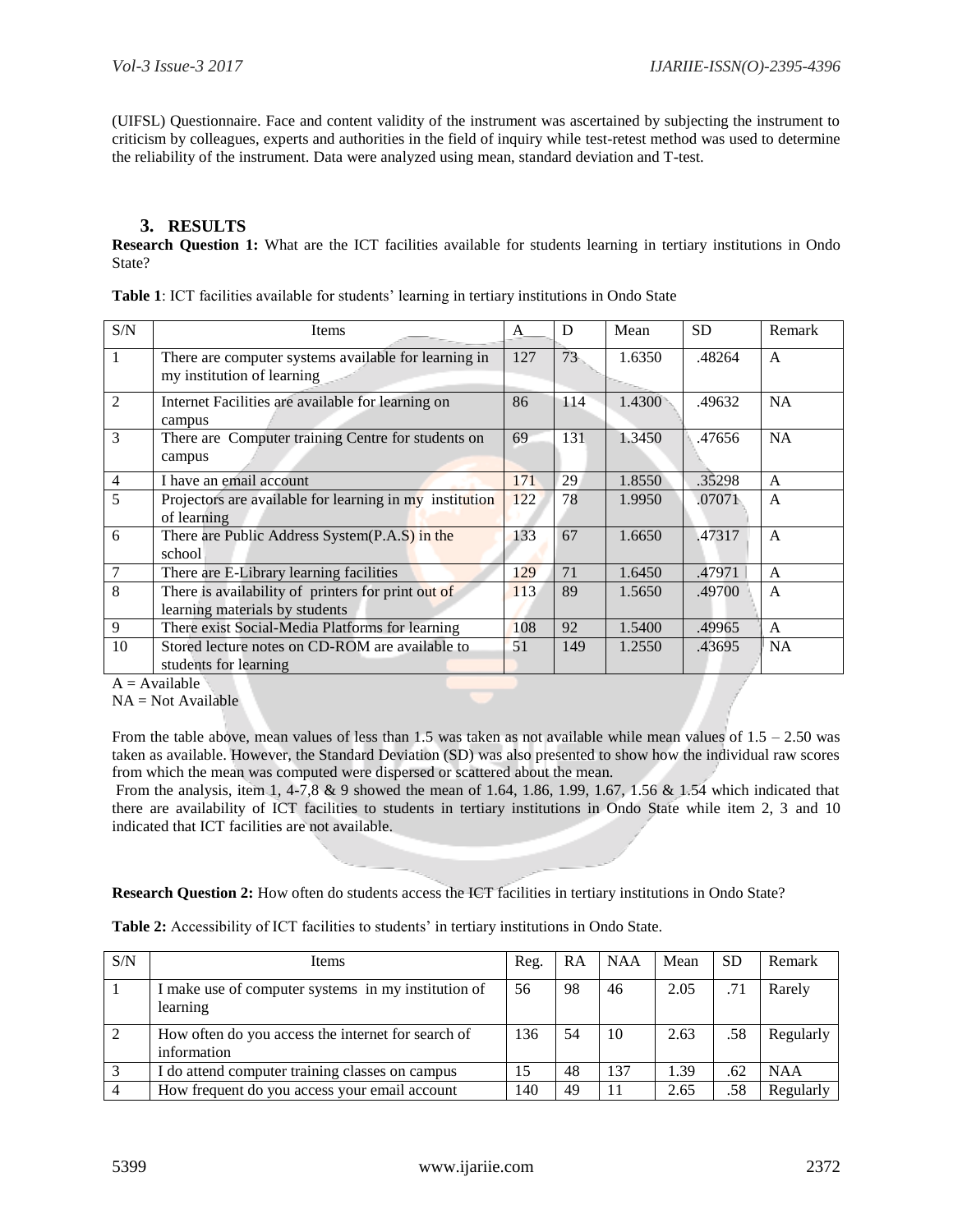(UIFSL) Questionnaire. Face and content validity of the instrument was ascertained by subjecting the instrument to criticism by colleagues, experts and authorities in the field of inquiry while test-retest method was used to determine the reliability of the instrument. Data were analyzed using mean, standard deviation and T-test.

# **3. RESULTS**

**Research Question 1:** What are the ICT facilities available for students learning in tertiary institutions in Ondo State?

|  | Table 1: ICT facilities available for students' learning in tertiary institutions in Ondo State |
|--|-------------------------------------------------------------------------------------------------|
|--|-------------------------------------------------------------------------------------------------|

| S/N            | <b>Items</b>                                                                              | A   | D   | Mean   | <b>SD</b> | Remark         |
|----------------|-------------------------------------------------------------------------------------------|-----|-----|--------|-----------|----------------|
| 1              | There are computer systems available for learning in<br>127<br>my institution of learning |     | 73  | 1.6350 | .48264    | $\mathsf{A}$   |
| $\mathfrak{D}$ | Internet Facilities are available for learning on<br>campus                               | 86  | 114 | 1.4300 | .49632    | <b>NA</b>      |
| 3              | There are Computer training Centre for students on<br>campus                              | 69  | 131 | 1.3450 | .47656    | <b>NA</b>      |
| $\overline{4}$ | I have an email account                                                                   | 171 | 29  | 1.8550 | .35298    | $\mathsf{A}$   |
| 5              | Projectors are available for learning in my institution<br>of learning                    | 122 | 78  | 1.9950 | .07071    | $\mathsf{A}$   |
| 6              | There are Public Address System(P.A.S) in the<br>school                                   | 133 | 67  | 1.6650 | .47317    | $\mathsf{A}$   |
| 7              | There are E-Library learning facilities                                                   | 129 | 71  | 1.6450 | .47971    | $\overline{A}$ |
| 8              | There is availability of printers for print out of<br>learning materials by students      |     | 89  | 1.5650 | .49700    | $\overline{A}$ |
| 9              | There exist Social-Media Platforms for learning                                           | 108 | 92  | 1.5400 | .49965    | $\overline{A}$ |
| 10             | Stored lecture notes on CD-ROM are available to<br>students for learning                  | 51  | 149 | 1.2550 | .43695    | <b>NA</b>      |

 $A =$  Available

 $NA = Not Available$ 

From the table above, mean values of less than 1.5 was taken as not available while mean values of 1.5 – 2.50 was taken as available. However, the Standard Deviation (SD) was also presented to show how the individual raw scores from which the mean was computed were dispersed or scattered about the mean.

From the analysis, item 1, 4-7,8 & 9 showed the mean of 1.64, 1.86, 1.99, 1.67, 1.56 & 1.54 which indicated that there are availability of ICT facilities to students in tertiary institutions in Ondo State while item 2, 3 and 10 indicated that ICT facilities are not available.

**Research Question 2:** How often do students access the ICT facilities in tertiary institutions in Ondo State?

Table 2: Accessibility of ICT facilities to students' in tertiary institutions in Ondo State.

| S/N | <b>Items</b>                                                      | Reg. | RA | <b>NAA</b> | Mean | <b>SD</b> | Remark     |
|-----|-------------------------------------------------------------------|------|----|------------|------|-----------|------------|
|     | I make use of computer systems in my institution of<br>learning   | 56   | 98 | 46         | 2.05 | .71       | Rarely     |
| 2   | How often do you access the internet for search of<br>information | 136  | 54 | 10         | 2.63 | .58       | Regularly  |
|     | I do attend computer training classes on campus                   | 15   | 48 | 137        | 1.39 | .62       | <b>NAA</b> |
|     | How frequent do you access your email account                     | 140  | 49 |            | 2.65 | .58       | Regularly  |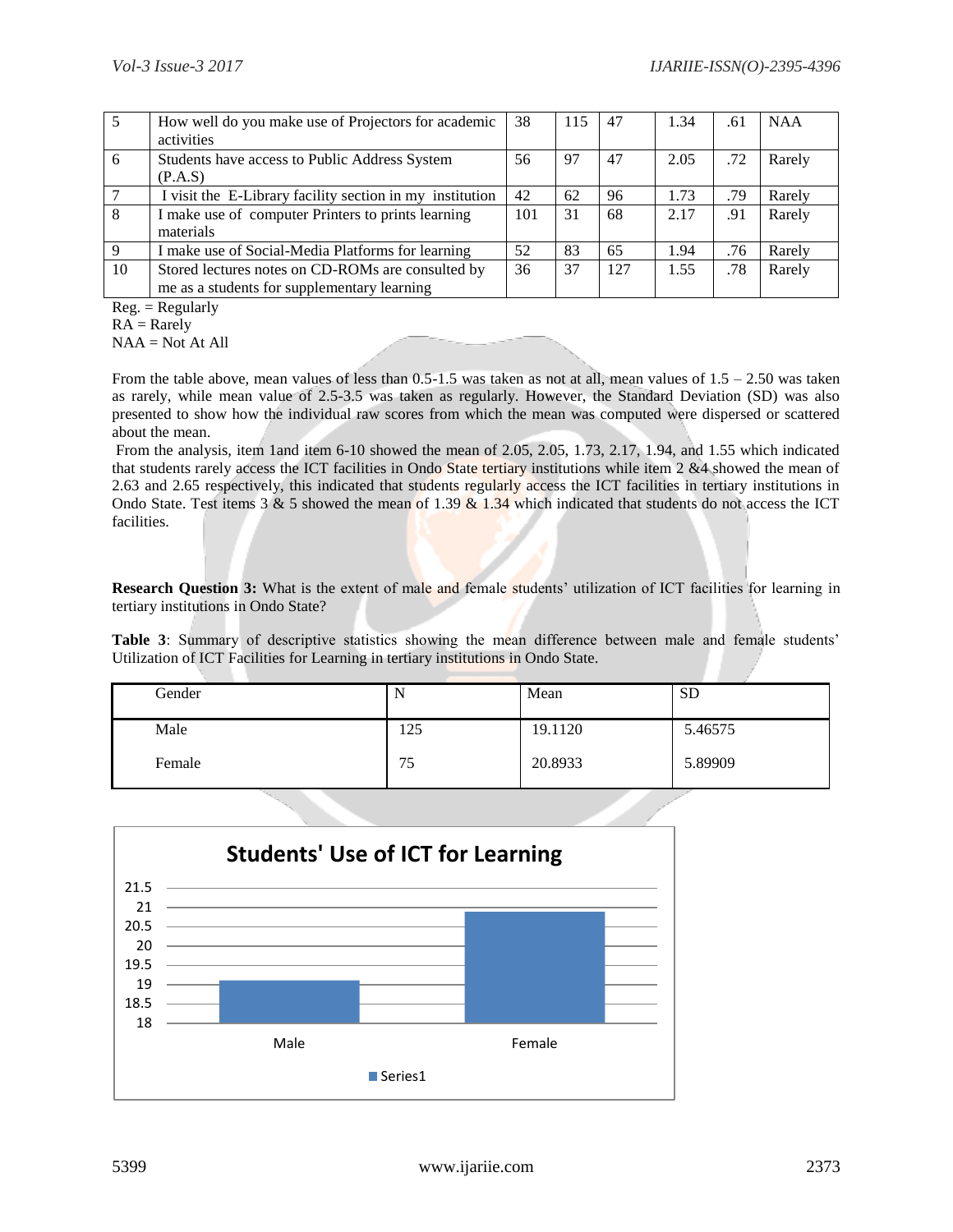|    | How well do you make use of Projectors for academic      |     | 115 | 47  | 1.34 | .61 | <b>NAA</b> |
|----|----------------------------------------------------------|-----|-----|-----|------|-----|------------|
|    | activities                                               |     |     |     |      |     |            |
| 6  | Students have access to Public Address System            | 56  | 97  | 47  | 2.05 | .72 | Rarely     |
|    | (P.A.S)                                                  |     |     |     |      |     |            |
|    | I visit the E-Library facility section in my institution | 42  | 62  | 96  | 1.73 | .79 | Rarely     |
| 8  | I make use of computer Printers to prints learning       | 101 | 31  | 68  | 2.17 | .91 | Rarely     |
|    | materials                                                |     |     |     |      |     |            |
| 9  | I make use of Social-Media Platforms for learning        | 52  | 83  | 65  | 1.94 | .76 | Rarely     |
| 10 | Stored lectures notes on CD-ROMs are consulted by        | 36  | 37  | 127 | 1.55 | .78 | Rarely     |
|    | me as a students for supplementary learning              |     |     |     |      |     |            |

 $Reg. = Regularly$ 

 $RA =$ Rarely

 $NAA = Not At All$ 

From the table above, mean values of less than  $0.5-1.5$  was taken as not at all, mean values of  $1.5 - 2.50$  was taken as rarely, while mean value of 2.5-3.5 was taken as regularly. However, the Standard Deviation (SD) was also presented to show how the individual raw scores from which the mean was computed were dispersed or scattered about the mean.

From the analysis, item 1and item 6-10 showed the mean of 2.05, 2.05, 1.73, 2.17, 1.94, and 1.55 which indicated that students rarely access the ICT facilities in Ondo State tertiary institutions while item 2 &4 showed the mean of 2.63 and 2.65 respectively, this indicated that students regularly access the ICT facilities in tertiary institutions in Ondo State. Test items 3 & 5 showed the mean of 1.39  $\&$  1.34 which indicated that students do not access the ICT facilities.

**Research Question 3:** What is the extent of male and female students' utilization of ICT facilities for learning in tertiary institutions in Ondo State?

**Table 3**: Summary of descriptive statistics showing the mean difference between male and female students' Utilization of ICT Facilities for Learning in tertiary institutions in Ondo State.

| Gender |     | Mean    | <b>SD</b> |
|--------|-----|---------|-----------|
| Male   | 125 | 19.1120 | 5.46575   |
| Female | 75  | 20.8933 | 5.89909   |

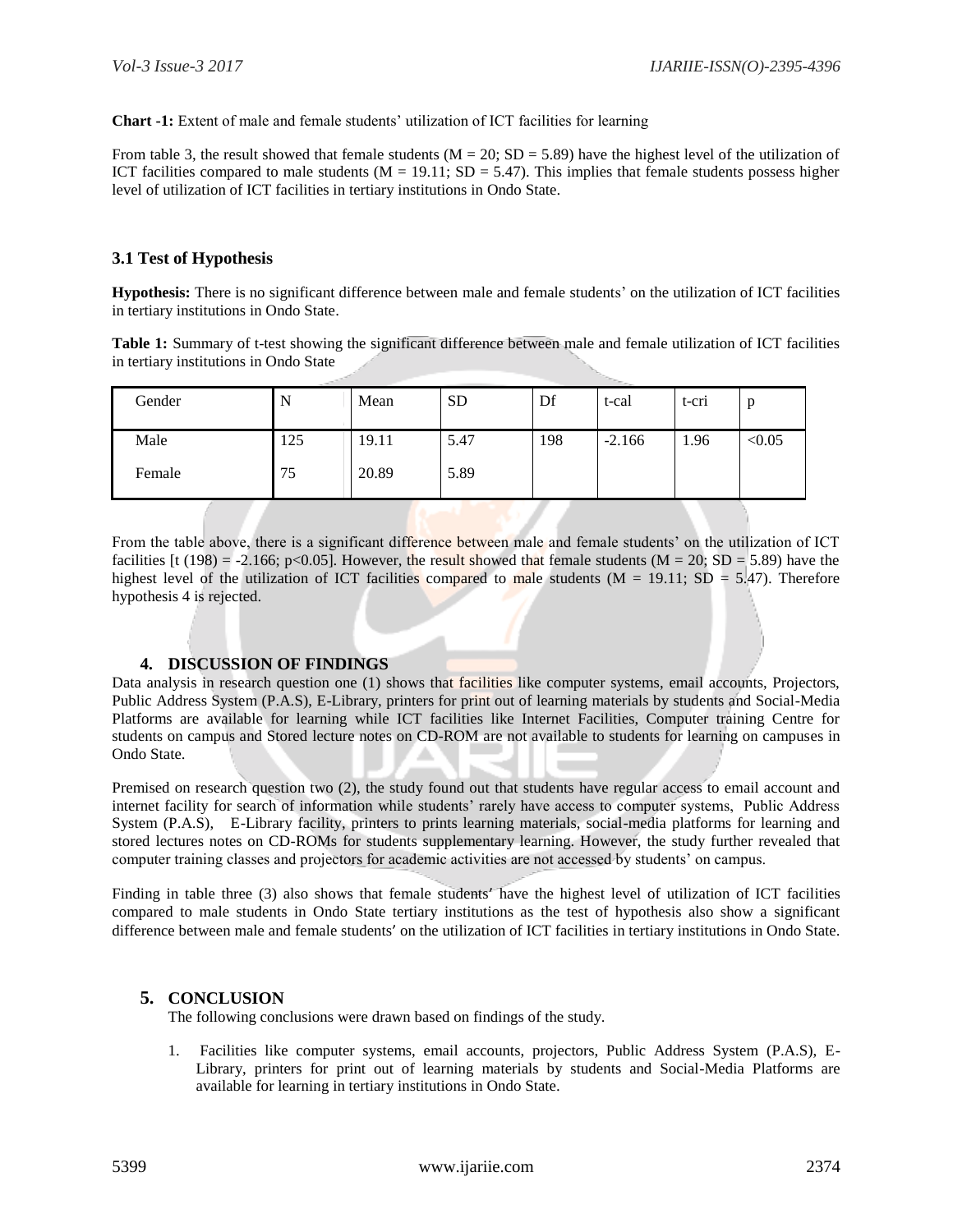**Chart -1:** Extent of male and female students" utilization of ICT facilities for learning

From table 3, the result showed that female students  $(M = 20; SD = 5.89)$  have the highest level of the utilization of ICT facilities compared to male students ( $M = 19.11$ ;  $SD = 5.47$ ). This implies that female students possess higher level of utilization of ICT facilities in tertiary institutions in Ondo State.

# **3.1 Test of Hypothesis**

**Hypothesis:** There is no significant difference between male and female students" on the utilization of ICT facilities in tertiary institutions in Ondo State.

**Table 1:** Summary of t-test showing the significant difference between male and female utilization of ICT facilities in tertiary institutions in Ondo State

| Gender | л.  | Mean  | <b>SD</b> | Df  | t-cal    | t-cri | p      |
|--------|-----|-------|-----------|-----|----------|-------|--------|
| Male   | 125 | 19.11 | 5.47      | 198 | $-2.166$ | 1.96  | < 0.05 |
| Female | 75  | 20.89 | 5.89      |     |          |       |        |

From the table above, there is a significant difference between male and female students" on the utilization of ICT facilities [t (198) = -2.166; p<0.05]. However, the result showed that female students ( $M = 20$ ;  $SD = 5.89$ ) have the highest level of the utilization of ICT facilities compared to male students ( $M = 19.11$ ; SD = 5.47). Therefore hypothesis 4 is rejected.

# **4. DISCUSSION OF FINDINGS**

Data analysis in research question one (1) shows that facilities like computer systems, email accounts, Projectors, Public Address System (P.A.S), E-Library, printers for print out of learning materials by students and Social-Media Platforms are available for learning while ICT facilities like Internet Facilities, Computer training Centre for students on campus and Stored lecture notes on CD-ROM are not available to students for learning on campuses in Ondo State.

Premised on research question two (2), the study found out that students have regular access to email account and internet facility for search of information while students" rarely have access to computer systems, Public Address System (P.A.S), E-Library facility, printers to prints learning materials, social-media platforms for learning and stored lectures notes on CD-ROMs for students supplementary learning. However, the study further revealed that computer training classes and projectors for academic activities are not accessed by students" on campus.

Finding in table three (3) also shows that female students' have the highest level of utilization of ICT facilities compared to male students in Ondo State tertiary institutions as the test of hypothesis also show a significant difference between male and female students' on the utilization of ICT facilities in tertiary institutions in Ondo State.

# **5. CONCLUSION**

The following conclusions were drawn based on findings of the study.

1. Facilities like computer systems, email accounts, projectors, Public Address System (P.A.S), E-Library, printers for print out of learning materials by students and Social-Media Platforms are available for learning in tertiary institutions in Ondo State.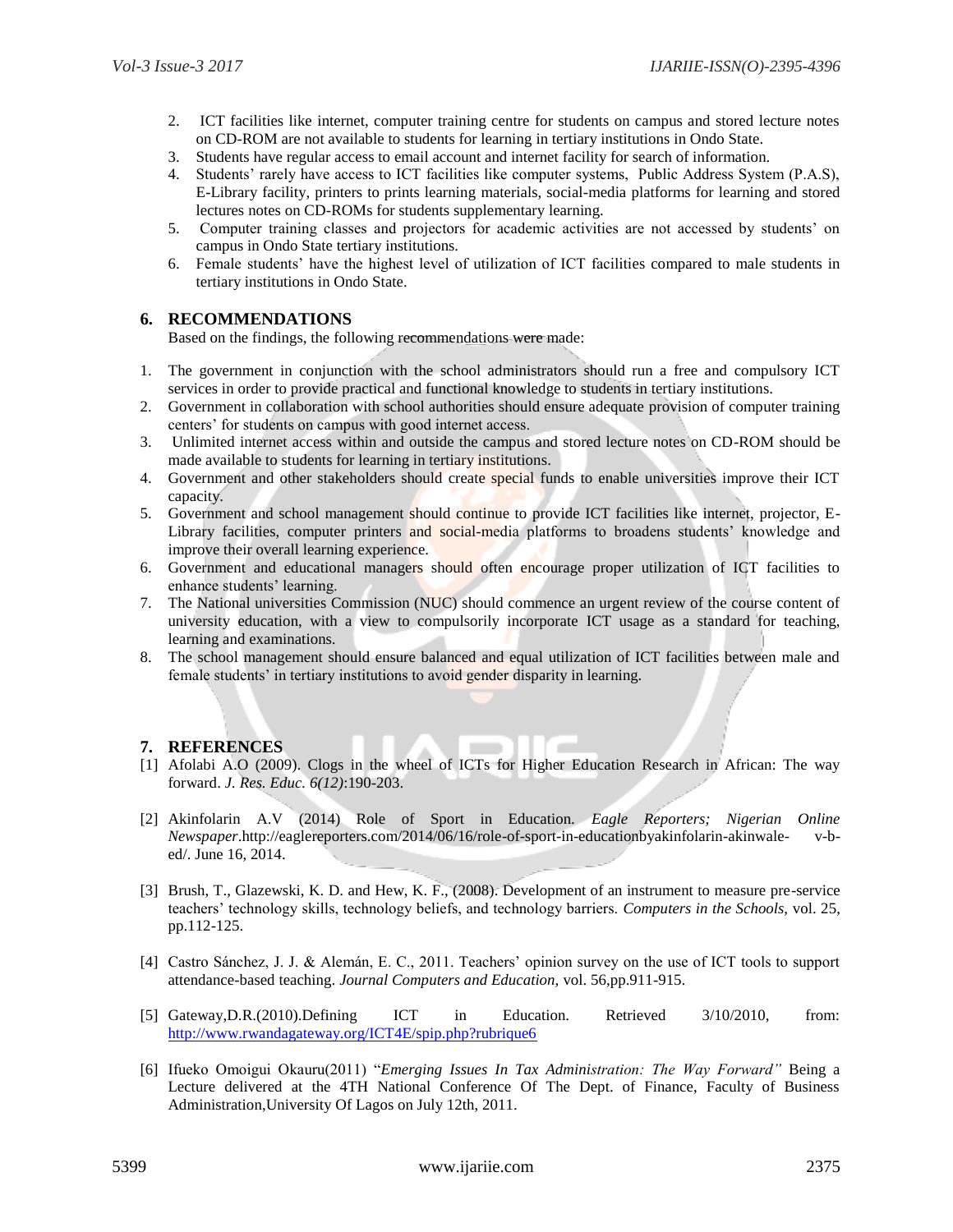- 2. ICT facilities like internet, computer training centre for students on campus and stored lecture notes on CD-ROM are not available to students for learning in tertiary institutions in Ondo State.
- 3. Students have regular access to email account and internet facility for search of information.
- 4. Students" rarely have access to ICT facilities like computer systems, Public Address System (P.A.S), E-Library facility, printers to prints learning materials, social-media platforms for learning and stored lectures notes on CD-ROMs for students supplementary learning.
- 5. Computer training classes and projectors for academic activities are not accessed by students" on campus in Ondo State tertiary institutions.
- 6. Female students" have the highest level of utilization of ICT facilities compared to male students in tertiary institutions in Ondo State.

#### **6. RECOMMENDATIONS**

Based on the findings, the following recommendations were made:

- 1. The government in conjunction with the school administrators should run a free and compulsory ICT services in order to provide practical and functional knowledge to students in tertiary institutions.
- 2. Government in collaboration with school authorities should ensure adequate provision of computer training centers" for students on campus with good internet access.
- 3. Unlimited internet access within and outside the campus and stored lecture notes on CD-ROM should be made available to students for learning in tertiary institutions.
- 4. Government and other stakeholders should create special funds to enable universities improve their ICT capacity.
- 5. Government and school management should continue to provide ICT facilities like internet, projector, E-Library facilities, computer printers and social-media platforms to broadens students' knowledge and improve their overall learning experience.
- 6. Government and educational managers should often encourage proper utilization of ICT facilities to enhance students' learning.
- 7. The National universities Commission (NUC) should commence an urgent review of the course content of university education, with a view to compulsorily incorporate ICT usage as a standard for teaching, learning and examinations.
- 8. The school management should ensure balanced and equal utilization of ICT facilities between male and female students' in tertiary institutions to avoid gender disparity in learning.

#### **7. REFERENCES**

- [1] Afolabi A.O (2009). Clogs in the wheel of ICTs for Higher Education Research in African: The way forward. *J. Res. Educ. 6(12)*:190-203.
- [2] Akinfolarin A.V (2014) Role of Sport in Education. *Eagle Reporters; Nigerian Online Newspaper*.http://eaglereporters.com/2014/06/16/role-of-sport-in-educationbyakinfolarin-akinwale- v-bed/. June 16, 2014.
- [3] Brush, T., Glazewski, K. D. and Hew, K. F., (2008). Development of an instrument to measure pre-service teachers" technology skills, technology beliefs, and technology barriers. *Computers in the Schools,* vol. 25, pp.112-125.
- [4] Castro Sánchez, J. J. & Alemán, E. C., 2011. Teachers" opinion survey on the use of ICT tools to support attendance-based teaching. *Journal Computers and Education,* vol. 56,pp.911-915.
- [5] Gateway,D.R.(2010).Defining ICT in Education. Retrieved 3/10/2010, from: <http://www.rwandagateway.org/ICT4E/spip.php?rubrique6>
- [6] Ifueko Omoigui Okauru(2011) "*Emerging Issues In Tax Administration: The Way Forward"* Being a Lecture delivered at the 4TH National Conference Of The Dept. of Finance, Faculty of Business Administration,University Of Lagos on July 12th, 2011.